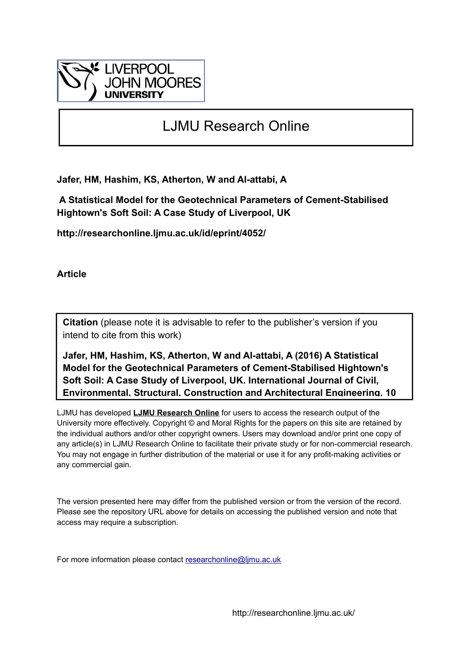

# LJMU Research Online

**Jafer, HM, Hashim, KS, Atherton, W and Al-attabi, A**

 **A Statistical Model for the Geotechnical Parameters of Cement-Stabilised Hightown's Soft Soil: A Case Study of Liverpool, UK**

**http://researchonline.ljmu.ac.uk/id/eprint/4052/**

**Article**

**Citation** (please note it is advisable to refer to the publisher's version if you intend to cite from this work)

**Jafer, HM, Hashim, KS, Atherton, W and Al-attabi, A (2016) A Statistical Model for the Geotechnical Parameters of Cement-Stabilised Hightown's Soft Soil: A Case Study of Liverpool, UK. International Journal of Civil, Environmental, Structural, Construction and Architectural Engineering, 10** 

LJMU has developed **[LJMU Research Online](http://researchonline.ljmu.ac.uk/)** for users to access the research output of the University more effectively. Copyright © and Moral Rights for the papers on this site are retained by the individual authors and/or other copyright owners. Users may download and/or print one copy of any article(s) in LJMU Research Online to facilitate their private study or for non-commercial research. You may not engage in further distribution of the material or use it for any profit-making activities or any commercial gain.

The version presented here may differ from the published version or from the version of the record. Please see the repository URL above for details on accessing the published version and note that access may require a subscription.

For more information please contact [researchonline@ljmu.ac.uk](mailto:researchonline@ljmu.ac.uk)

http://researchonline.ljmu.ac.uk/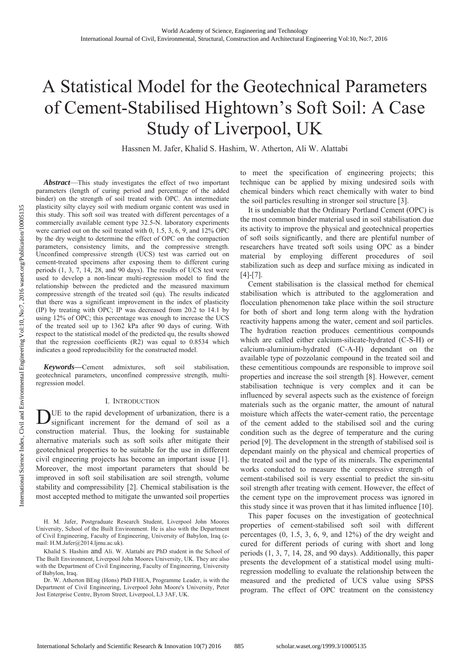# A Statistical Model for the Geotechnical Parameters of Cement-Stabilised Hightown's Soft Soil: A Case Study of Liverpool, UK

Hassnen M. Jafer, Khalid S. Hashim, W. Atherton, Ali W. Alattabi

**Abstract**—This study investigates the effect of two important parameters (length of curing period and percentage of the added binder) on the strength of soil treated with OPC. An intermediate plasticity silty clayey soil with medium organic content was used in this study. This soft soil was treated with different percentages of a commercially available cement type 32.5-N. laboratory experiments were carried out on the soil treated with 0, 1.5, 3, 6, 9, and 12% OPC by the dry weight to determine the effect of OPC on the compaction parameters, consistency limits, and the compressive strength. Unconfined compressive strength (UCS) test was carried out on cement-treated specimens after exposing them to different curing periods (1, 3, 7, 14, 28, and 90 days). The results of UCS test were used to develop a non-linear multi-regression model to find the relationship between the predicted and the measured maximum compressive strength of the treated soil (qu). The results indicated that there was a significant improvement in the index of plasticity (IP) by treating with OPC; IP was decreased from 20.2 to 14.1 by using 12% of OPC; this percentage was enough to increase the UCS of the treated soil up to 1362 kPa after 90 days of curing. With respect to the statistical model of the predicted qu, the results showed that the regression coefficients (R2) was equal to 0.8534 which indicates a good reproducibility for the constructed model.

Keywords-Cement admixtures, soft soil stabilisation, geotechnical parameters, unconfined compressive strength, multiregression model.

#### I. INTRODUCTION

DUE to the rapid development of urbanization, there is a significant increment for the demand of soil as a construction material. Thus, the looking for sustainable alternative materials such as soft soils after mitigate their geotechnical properties to be suitable for the use in different civil engineering projects has become an important issue [1]. Moreover, the most important parameters that should be improved in soft soil stabilisation are soil strength, volume stability and compressibility [2]. Chemical stabilisation is the most accepted method to mitigate the unwanted soil properties

H. M. Jafer, Postgraduate Research Student, Liverpool John Moores University, School of the Built Environment. He is also with the Department of Civil Engineering, Faculty of Engineering, University of Babylon, Iraq (email: H.M.Jafer@2014.ljmu.ac.uk).

Khalid S. Hashim and Ali. W. Alattabi are PhD student in the School of The Built Environment, Liverpool John Moores University, UK. They are also with the Department of Civil Engineering, Faculty of Engineering, University of Babylon, Iraq.

Dr. W. Atherton BEng (Hons) PhD FHEA, Programme Leader, is with the Department of Civil Engineering, Liverpool John Moore's University, Peter Jost Enterprise Centre, Byrom Street, Liverpool, L3 3AF, UK.

to meet the specification of engineering projects; this technique can be applied by mixing undesired soils with chemical binders which react chemically with water to bind the soil particles resulting in stronger soil structure [3].

It is undeniable that the Ordinary Portland Cement (OPC) is the most common binder material used in soil stabilisation due its activity to improve the physical and geotechnical properties of soft soils significantly, and there are plentiful number of researchers have treated soft soils using OPC as a binder material by employing different procedures of soil stabilization such as deep and surface mixing as indicated in  $[4]-[7]$ .

Cement stabilisation is the classical method for chemical stabilisation which is attributed to the agglomeration and flocculation phenomenon take place within the soil structure for both of short and long term along with the hydration reactivity happens among the water, cement and soil particles. The hydration reaction produces cementitious compounds which are called either calcium-silicate-hydrated (C-S-H) or calcium-aluminium-hydrated (C-A-H) dependant on the available type of pozzolanic compound in the treated soil and these cementitious compounds are responsible to improve soil properties and increase the soil strength [8]. However, cement stabilisation technique is very complex and it can be influenced by several aspects such as the existence of foreign materials such as the organic matter, the amount of natural moisture which affects the water-cement ratio, the percentage of the cement added to the stabilised soil and the curing condition such as the degree of temperature and the curing period [9]. The development in the strength of stabilised soil is dependant mainly on the physical and chemical properties of the treated soil and the type of its minerals. The experimental works conducted to measure the compressive strength of cement-stabilised soil is very essential to predict the sin-situ soil strength after treating with cement. However, the effect of the cement type on the improvement process was ignored in this study since it was proven that it has limited influence [10].

This paper focuses on the investigation of geotechnical properties of cement-stabilised soft soil with different percentages  $(0, 1.5, 3, 6, 9, \text{ and } 12\%)$  of the dry weight and cured for different periods of curing with short and long periods (1, 3, 7, 14, 28, and 90 days). Additionally, this paper presents the development of a statistical model using multiregression modelling to evaluate the relationship between the measured and the predicted of UCS value using SPSS program. The effect of OPC treatment on the consistency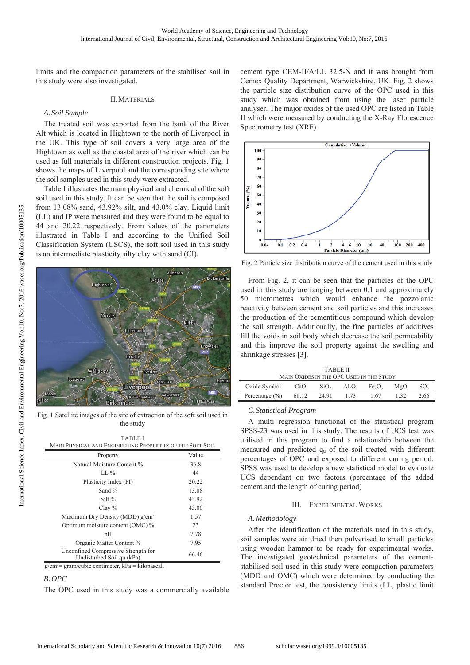limits and the compaction parameters of the stabilised soil in this study were also investigated.

# **II. MATERIALS**

### A. Soil Sample

The treated soil was exported from the bank of the River Alt which is located in Hightown to the north of Liverpool in the UK. This type of soil covers a very large area of the Hightown as well as the coastal area of the river which can be used as full materials in different construction projects. Fig. 1 shows the maps of Liverpool and the corresponding site where the soil samples used in this study were extracted.

Table I illustrates the main physical and chemical of the soft soil used in this study. It can be seen that the soil is composed from 13.08% sand, 43.92% silt, and 43.0% clay. Liquid limit (LL) and IP were measured and they were found to be equal to 44 and 20.22 respectively. From values of the parameters illustrated in Table I and according to the Unified Soil Classification System (USCS), the soft soil used in this study is an intermediate plasticity silty clay with sand (CI).



Fig. 1 Satellite images of the site of extraction of the soft soil used in the study

| TABLEI<br>MAIN PHYSICAL AND ENGINEERING PROPERTIES OF THE SOFT SOIL          |       |  |  |  |  |  |
|------------------------------------------------------------------------------|-------|--|--|--|--|--|
| Property                                                                     | Value |  |  |  |  |  |
| Natural Moisture Content %                                                   | 36.8  |  |  |  |  |  |
| $LL\%$                                                                       | 44    |  |  |  |  |  |
| Plasticity Index (PI)                                                        | 20.22 |  |  |  |  |  |
| Sand $\%$                                                                    | 13.08 |  |  |  |  |  |
| Silt %                                                                       | 43.92 |  |  |  |  |  |
| Clay $%$                                                                     | 43.00 |  |  |  |  |  |
| Maximum Dry Density (MDD) $g/cm^3$                                           | 1.57  |  |  |  |  |  |
| Optimum moisture content (OMC) %                                             | 23    |  |  |  |  |  |
| pH                                                                           | 7.78  |  |  |  |  |  |
| Organic Matter Content %                                                     | 7.95  |  |  |  |  |  |
| Unconfined Compressive Strength for<br>Undisturbed Soil qu (kPa)             | 66.46 |  |  |  |  |  |
| $\sigma$ /cm <sup>3</sup> = $\sigma$ ram/cubic centimeter. kPa = kilonascal. |       |  |  |  |  |  |

 $B. OPC$ 

The OPC used in this study was a commercially available

cement type CEM-II/A/LL 32.5-N and it was brought from Cemex Quality Department, Warwickshire, UK. Fig. 2 shows the particle size distribution curve of the OPC used in this study which was obtained from using the laser particle analyser. The major oxides of the used OPC are listed in Table II which were measured by conducting the X-Ray Florescence Spectrometry test (XRF).



Fig. 2 Particle size distribution curve of the cement used in this study

From Fig. 2, it can be seen that the particles of the OPC used in this study are ranging between 0.1 and approximately 50 micrometres which would enhance the pozzolanic reactivity between cement and soil particles and this increases the production of the cementitious compound which develop the soil strength. Additionally, the fine particles of additives fill the voids in soil body which decrease the soil permeability and this improve the soil property against the swelling and shrinkage stresses [3].

| <b>TABLE II</b>                          |       |                  |           |                                |     |                 |  |  |  |  |
|------------------------------------------|-------|------------------|-----------|--------------------------------|-----|-----------------|--|--|--|--|
| MAIN OXIDES IN THE OPC USED IN THE STUDY |       |                  |           |                                |     |                 |  |  |  |  |
| Oxide Symbol                             | CaO   | SiO <sub>2</sub> | $Al_2O_3$ | Fe <sub>2</sub> O <sub>3</sub> | MgO | SO <sub>3</sub> |  |  |  |  |
| Percentage $(\% )$                       | 66.12 | 24.91            | 1.73      | 1.67                           |     | 2.66            |  |  |  |  |

#### C. Statistical Program

A multi regression functional of the statistical program SPSS-23 was used in this study. The results of UCS test was utilised in this program to find a relationship between the measured and predicted  $q_u$  of the soil treated with different percentages of OPC and exposed to different curing period. SPSS was used to develop a new statistical model to evaluate UCS dependant on two factors (percentage of the added cement and the length of curing period)

#### **III.** EXPERIMENTAL WORKS

# A. Methodology

After the identification of the materials used in this study, soil samples were air dried then pulverised to small particles using wooden hammer to be ready for experimental works. The investigated geotechnical parameters of the cementstabilised soil used in this study were compaction parameters (MDD and OMC) which were determined by conducting the standard Proctor test, the consistency limits (LL, plastic limit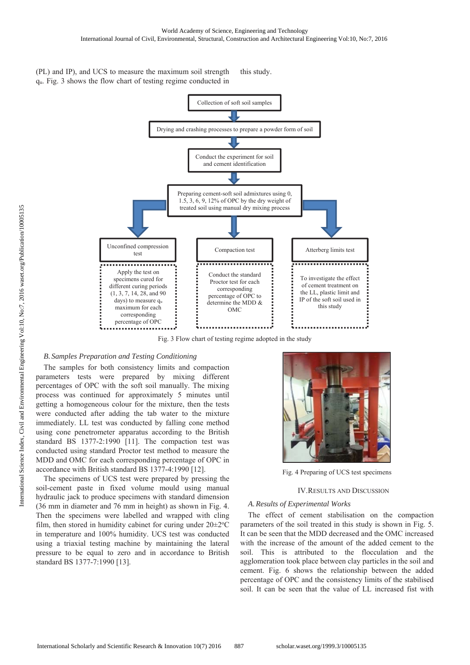(PL) and IP), and UCS to measure the maximum soil strength  $q_u$ . Fig. 3 shows the flow chart of testing regime conducted in this study.



Fig. 3 Flow chart of testing regime adopted in the study

#### *B. Samples Preparation and Testing Conditioning*

The samples for both consistency limits and compaction parameters tests were prepared by mixing different percentages of OPC with the soft soil manually. The mixing process was continued for approximately 5 minutes until getting a homogeneous colour for the mixture, then the tests were conducted after adding the tab water to the mixture immediately. LL test was conducted by falling cone method using cone penetrometer apparatus according to the British standard BS 1377-2:1990 [11]. The compaction test was conducted using standard Proctor test method to measure the MDD and OMC for each corresponding percentage of OPC in accordance with British standard BS 1377-4:1990 [12].

The specimens of UCS test were prepared by pressing the soil-cement paste in fixed volume mould using manual hydraulic jack to produce specimens with standard dimension  $(36 \text{ mm in diameter and } 76 \text{ mm in height})$  as shown in Fig. 4. Then the specimens were labelled and wrapped with cling film, then stored in humidity cabinet for curing under  $20 \pm 2^{\circ}C$ in temperature and 100% humidity. UCS test was conducted using a triaxial testing machine by maintaining the lateral pressure to be equal to zero and in accordance to British standard BS 1377-7:1990 [13].



Fig. 4 Preparing of UCS test specimens

#### IV.RESULTS AND DISCUSSION

# *A. Results of Experimental Works*

The effect of cement stabilisation on the compaction parameters of the soil treated in this study is shown in Fig. 5. It can be seen that the MDD decreased and the OMC increased with the increase of the amount of the added cement to the soil. This is attributed to the flocculation and the agglomeration took place between clay particles in the soil and cement. Fig. 6 shows the relationship between the added percentage of OPC and the consistency limits of the stabilised soil. It can be seen that the value of LL increased fist with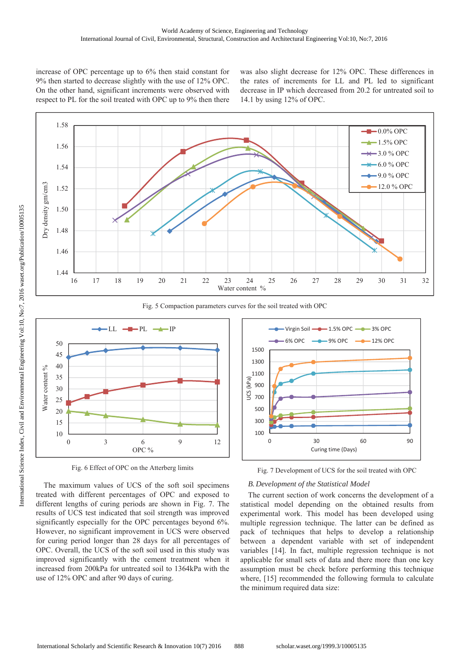increase of OPC percentage up to 6% then staid constant for 9% then started to decrease slightly with the use of 12% OPC. On the other hand, significant increments were observed with respect to PL for the soil treated with OPC up to 9% then there was also slight decrease for 12% OPC. These differences in the rates of increments for LL and PL led to significant decrease in IP which decreased from 20.2 for untreated soil to 14.1 by using 12% of OPC.



Fig. 5 Compaction parameters curves for the soil treated with OPC



Fig. 6 Effect of OPC on the Atterberg limits

The maximum values of UCS of the soft soil specimens treated with different percentages of OPC and exposed to different lengths of curing periods are shown in Fig. 7. The results of UCS test indicated that soil strength was improved significantly especially for the OPC percentages beyond 6%. However, no significant improvement in UCS were observed for curing period longer than 28 days for all percentages of OPC. Overall, the UCS of the soft soil used in this study was improved significantly with the cement treatment when it increased from 200kPa for untreated soil to 1364kPa with the use of 12% OPC and after 90 days of curing.



Fig. 7 Development of UCS for the soil treated with OPC

# **B.** Development of the Statistical Model

The current section of work concerns the development of a statistical model depending on the obtained results from experimental work. This model has been developed using multiple regression technique. The latter can be defined as pack of techniques that helps to develop a relationship between a dependent variable with set of independent variables [14]. In fact, multiple regression technique is not applicable for small sets of data and there more than one key assumption must be check before performing this technique where, [15] recommended the following formula to calculate the minimum required data size: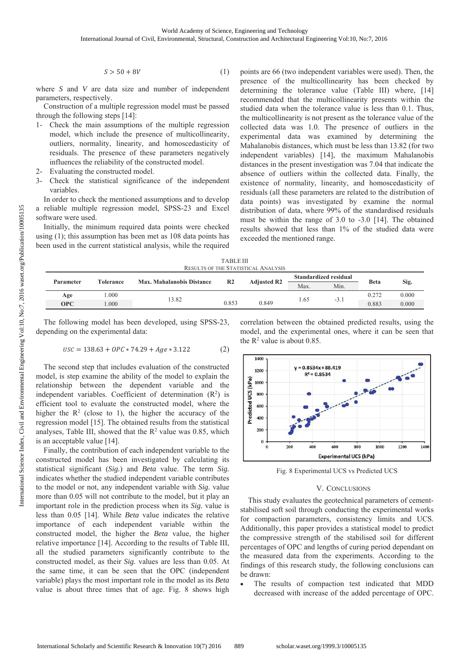$$
S > 50 + 8V \tag{1}
$$

where  $S$  and  $V$  are data size and number of independent parameters, respectively.

Construction of a multiple regression model must be passed through the following steps [14]:

- 1- Check the main assumptions of the multiple regression model, which include the presence of multicollinearity, outliers, normality, linearity, and homoscedasticity of residuals. The presence of these parameters negatively influences the reliability of the constructed model.
- 2- Evaluating the constructed model.
- 3- Check the statistical significance of the independent variables

In order to check the mentioned assumptions and to develop a reliable multiple regression model, SPSS-23 and Excel software were used.

Initially, the minimum required data points were checked using  $(1)$ ; this assumption has been met as  $108$  data points has been used in the current statistical analysis, while the required points are 66 (two independent variables were used). Then, the presence of the multicollinearity has been checked by determining the tolerance value (Table III) where, [14] recommended that the multicollinearity presents within the studied data when the tolerance value is less than 0.1. Thus, the multicollinearity is not present as the tolerance value of the collected data was 1.0. The presence of outliers in the experimental data was examined by determining the Mahalanobis distances, which must be less than 13.82 (for two independent variables) [14], the maximum Mahalanobis distances in the present investigation was 7.04 that indicate the absence of outliers within the collected data. Finally, the existence of normality, linearity, and homoscedasticity of residuals (all these parameters are related to the distribution of data points) was investigated by examine the normal distribution of data, where 99% of the standardised residuals must be within the range of 3.0 to -3.0 [14]. The obtained results showed that less than 1% of the studied data were exceeded the mentioned range.

**TABLE III** RESULTS OF THE STATISTICAL ANALYSIS

| Parameter  | Max. Mahalanobis Distance<br><b>Tolerance</b> | R <sub>2</sub> | <b>Adjusted R2</b> | Standardized residual |      | <b>Beta</b> |       |       |
|------------|-----------------------------------------------|----------------|--------------------|-----------------------|------|-------------|-------|-------|
|            |                                               |                |                    |                       | Max. | Min.        |       | Sig.  |
| Age        | 000.1                                         | 13.82          |                    |                       | 1.65 | $-5.1$      | 0.272 | 0.000 |
| <b>OPC</b> | 000.                                          |                | 0.853              | 0.849                 |      |             | 0.883 | 0.000 |

The following model has been developed, using SPSS-23, depending on the experimental data:

$$
USC = 138.63 + OPC * 74.29 + Age * 3.122
$$
 (2)

The second step that includes evaluation of the constructed model, is step examine the ability of the model to explain the relationship between the dependent variable and the independent variables. Coefficient of determination  $(R^2)$  is efficient tool to evaluate the constructed model, where the higher the  $R^2$  (close to 1), the higher the accuracy of the regression model [15]. The obtained results from the statistical analyses, Table III, showed that the  $R^2$  value was 0.85, which is an acceptable value [14].

Finally, the contribution of each independent variable to the constructed model has been investigated by calculating its statistical significant (Sig.) and Beta value. The term Sig. indicates whether the studied independent variable contributes to the model or not, any independent variable with Sig. value more than 0.05 will not contribute to the model, but it play an important role in the prediction process when its Sig. value is less than 0.05 [14]. While Beta value indicates the relative importance of each independent variable within the constructed model, the higher the Beta value, the higher relative importance [14]. According to the results of Table III, all the studied parameters significantly contribute to the constructed model, as their Sig. values are less than 0.05. At the same time, it can be seen that the OPC (independent variable) plays the most important role in the model as its Beta value is about three times that of age. Fig. 8 shows high correlation between the obtained predicted results, using the model, and the experimental ones, where it can be seen that the  $R^2$  value is about 0.85.



Fig. 8 Experimental UCS vs Predicted UCS

# V. CONCLUSIONS

This study evaluates the geotechnical parameters of cementstabilised soft soil through conducting the experimental works for compaction parameters, consistency limits and UCS. Additionally, this paper provides a statistical model to predict the compressive strength of the stabilised soil for different percentages of OPC and lengths of curing period dependant on the measured data from the experiments. According to the findings of this research study, the following conclusions can be drawn:

The results of compaction test indicated that MDD decreased with increase of the added percentage of OPC.